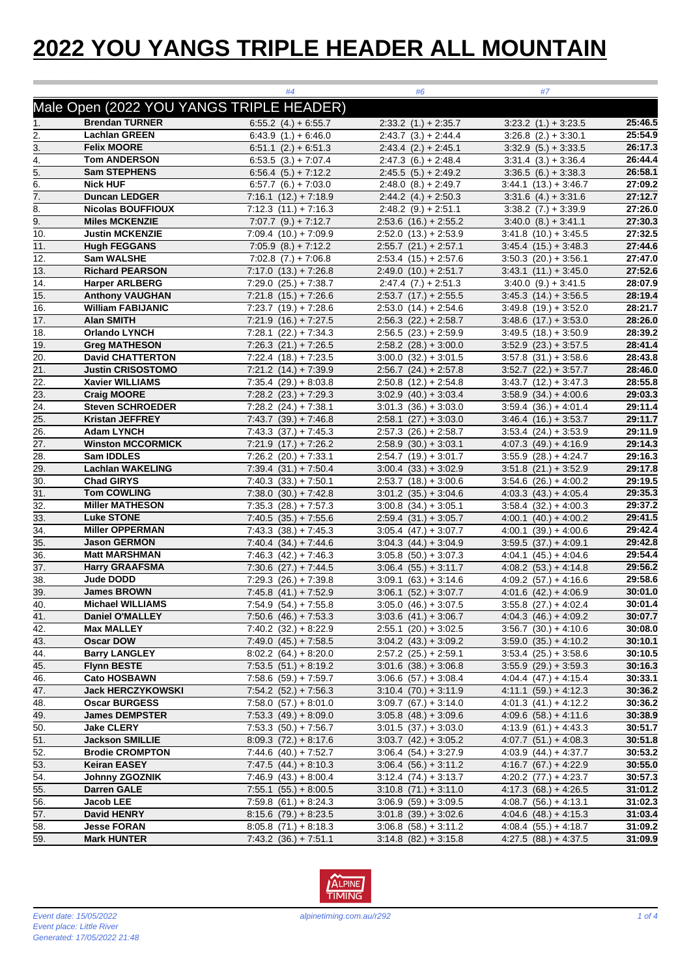## **2022 YOU YANGS TRIPLE HEADER ALL MOUNTAIN**

|                   |                                                  | #4                                                     | #6                                                 | #7                                               |                    |
|-------------------|--------------------------------------------------|--------------------------------------------------------|----------------------------------------------------|--------------------------------------------------|--------------------|
|                   | Male Open (2022 YOU YANGS TRIPLE HEADER)         |                                                        |                                                    |                                                  |                    |
| 1.                | <b>Brendan TURNER</b>                            | $6:55.2$ (4.) + 6:55.7                                 | $2:33.2(1.) + 2:35.7$                              | $3:23.2$ $(1.) + 3:23.5$                         | 25:46.5            |
| 2.                | <b>Lachlan GREEN</b>                             | $6:43.9(1.) + 6:46.0$                                  | $2:43.7(3.) + 2:44.4$                              | $3:26.8$ $(2.) + 3:30.1$                         | 25:54.9            |
| 3.                | <b>Felix MOORE</b>                               | $6:51.1$ $(2.) + 6:51.3$                               | $2:43.4(2.) + 2:45.1$                              | $3:32.9(5.) + 3:33.5$                            | 26:17.3            |
| 4.                | <b>Tom ANDERSON</b>                              | $6.53.5(3.) + 7.07.4$                                  | $2:47.3(6.) + 2:48.4$                              | $3:31.4(3.) + 3:36.4$                            | 26:44.4            |
| 5.                | <b>Sam STEPHENS</b>                              | $6:56.4(5.) + 7:12.2$                                  | $2:45.5(5.) + 2:49.2$                              | $3:36.5(6.) + 3:38.3$                            | 26:58.1            |
| 6.                | <b>Nick HUF</b>                                  | $6:57.7(6.) + 7:03.0$                                  | $2:48.0(8.) + 2:49.7$                              | $3:44.1$ $(13.) + 3:46.7$                        | 27:09.2            |
| 7.                | <b>Duncan LEDGER</b>                             | $7:16.1$ $(12.) + 7:18.9$                              | $2:44.2$ (4.) + 2:50.3                             | $3:31.6$ (4.) + 3:31.6                           | 27:12.7            |
| 8.                | <b>Nicolas BOUFFIOUX</b>                         | $7:12.3(11.)+7:16.3$                                   | $2:48.2(9.) + 2:51.1$                              | $3:38.2$ $(7.) + 3:39.9$                         | 27:26.0            |
| 9.                | <b>Miles MCKENZIE</b>                            | $7:07.7$ $(9.) + 7:12.7$                               | $2:53.6$ $(16.) + 2:55.2$                          | $3.40.0$ $(8.) + 3.41.1$                         | 27:30.3            |
| 10.               | <b>Justin MCKENZIE</b>                           | $7:09.4(10.) + 7:09.9$                                 | $2:52.0$ $(13.) + 2:53.9$                          | $3:41.8(10.) + 3:45.5$                           | 27:32.5            |
| 11.               | <b>Hugh FEGGANS</b>                              | $7:05.9$ $(8.) + 7:12.2$                               | $2:55.7$ $(21.) + 2:57.1$                          | $3:45.4(15.) + 3:48.3$                           | 27:44.6            |
| 12.               | Sam WALSHE                                       | $7:02.8$ $(7.) + 7:06.8$                               | $2:53.4$ $(15.) + 2:57.6$                          | $3:50.3$ $(20.) + 3:56.1$                        | 27:47.0            |
| 13.               | <b>Richard PEARSON</b>                           | $7:17.0$ $(13.) + 7:26.8$                              | $2:49.0(10.) + 2:51.7$                             | $3:43.1$ $(11.) + 3:45.0$                        | 27:52.6            |
| 14.               | <b>Harper ARLBERG</b>                            | $7:29.0$ $(25.) + 7:38.7$                              | $2:47.4(7.)+2:51.3$                                | $3:40.0$ $(9.) + 3:41.5$                         | 28:07.9            |
| 15.               | <b>Anthony VAUGHAN</b>                           | $7:21.8$ $(15.) + 7:26.6$                              | $2:53.7$ $(17.) + 2:55.5$                          | $3:45.3$ $(14.) + 3:56.5$                        | 28:19.4            |
| 16.               | <b>William FABIJANIC</b>                         | $7:23.7$ $(19.) + 7:28.6$                              | $2:53.0$ $(14.) + 2:54.6$                          | $3:49.8$ $(19.) + 3:52.0$                        | 28:21.7            |
| 17.               | <b>Alan SMITH</b>                                | $7:21.9$ $(16.) + 7:27.5$                              | $2:56.3$ $(22.) + 2:58.7$                          | $3.48.6$ (17.) + 3.53.0                          | 28:26.0            |
| 18.               | <b>Orlando LYNCH</b>                             | $7:28.1$ $(22.) + 7:34.3$                              | $2:56.5(23.) + 2:59.9$                             | $3:49.5(18.) + 3:50.9$                           | 28:39.2            |
| 19.               | <b>Greg MATHESON</b>                             | $7:26.3$ $(21.) + 7:26.5$                              | $2:58.2$ $(28.) + 3:00.0$                          | $3:52.9$ $(23.) + 3:57.5$                        | 28:41.4            |
| 20.               | <b>David CHATTERTON</b>                          | $7:22.4$ $(18.) + 7:23.5$                              | $3:00.0$ $(32.) + 3:01.5$                          | $3:57.8$ $(31.) + 3:58.6$                        | 28:43.8            |
| 21.               | <b>Justin CRISOSTOMO</b>                         | $7:21.2$ $(14.) + 7:39.9$                              | $2:56.7$ $(24.) + 2:57.8$                          | $3.52.7$ $(22.) + 3.57.7$                        | 28:46.0            |
| 22.               | <b>Xavier WILLIAMS</b>                           | $7:35.4$ $(29.) + 8:03.8$                              | $2:50.8$ $(12.) + 2:54.8$                          | $3:43.7$ $(12.) + 3:47.3$                        | 28:55.8            |
| 23.               | <b>Craig MOORE</b>                               | $7:28.2$ $(23.) + 7:29.3$                              | $3:02.9$ $(40.) + 3:03.4$                          | $3:58.9(34.) + 4:00.6$                           | 29:03.3            |
| 24.               | <b>Steven SCHROEDER</b>                          | $7:28.2$ $(24.) + 7:38.1$                              | $3:01.3$ $(36.) + 3:03.0$                          | $3:59.4(36.) + 4:01.4$                           | 29:11.4            |
| 25.               | <b>Kristan JEFFREY</b>                           | $7:43.7(39.)+7:46.8$                                   | $2:58.1$ $(27.) + 3:03.0$                          | $3.46.4$ $(16.) + 3.53.7$                        | 29:11.7            |
| 26.               | <b>Adam LYNCH</b>                                | $7:43.3(37.)+7:45.3$                                   | $2:57.3$ $(26.) + 2:58.7$                          | $3:53.4$ $(24.) + 3:53.9$                        | 29:11.9            |
| $\overline{27}$ . | <b>Winston MCCORMICK</b>                         | $7:21.9$ $(17.) + 7:26.2$                              | $2:58.9(30.) + 3.03.1$                             | $4.07.3$ $(49.) + 4.16.9$                        | 29:14.3            |
| 28.               | Sam IDDLES                                       | $7:26.2$ $(20.) + 7:33.1$                              | $2:54.7$ (19.) + 3:01.7                            | $3:55.9$ $(28.) + 4:24.7$                        | 29:16.3            |
| 29.               | <b>Lachlan WAKELING</b>                          | $7:39.4(31.)+7:50.4$                                   | $3:00.4(33.) + 3:02.9$                             | $3:51.8$ $(21.) + 3:52.9$                        | 29:17.8            |
| 30.               | <b>Chad GIRYS</b>                                | $7:40.3(33.)+7:50.1$                                   | $2:53.7$ $(18.) + 3:00.6$                          | $3:54.6$ $(26.) + 4:00.2$                        | 29:19.5            |
| 31.               | <b>Tom COWLING</b>                               | $7:38.0(30.) + 7:42.8$                                 | $3:01.2$ $(35.) + 3:04.6$                          | $4.03.3$ $(43.) + 4.05.4$                        | 29:35.3            |
| 32.               | <b>Miller MATHESON</b>                           | $7:35.3$ $(28.) + 7:57.3$                              | $3:00.8$ $(34.) + 3:05.1$                          | $3:58.4(32.) + 4:00.3$                           | 29:37.2            |
| 33.               | <b>Luke STONE</b>                                | $7:40.5(35.) + 7:55.6$                                 | $2:59.4(31.) + 3:05.7$                             | $4:00.1$ $(40.) + 4:00.2$                        | 29:41.5            |
| 34.               | <b>Miller OPPERMAN</b>                           | $7:43.3(38.) + 7:45.3$                                 | $3:05.4$ $(47.) + 3:07.7$                          | $4:00.1$ $(39.) + 4:00.6$                        | 29:42.4            |
| 35.               | <b>Jason GERMON</b>                              | $7:40.4(34.)+7:44.6$                                   | $3.04.3$ $(44.) + 3.04.9$                          | $3:59.5(37.) + 4.09.1$                           | 29:42.8            |
| 36.               | <b>Matt MARSHMAN</b>                             | $7:46.3(42.) + 7:46.3$                                 | $3:05.8$ $(50.) + 3:07.3$                          | $4:04.1$ $(45.) + 4:04.6$                        | 29:54.4            |
| 37.               | <b>Harry GRAAFSMA</b>                            | $7:30.6$ $(27.) + 7:44.5$                              | $3:06.4$ $(55.) + 3:11.7$                          | $4.08.2$ $(53.) + 4.14.8$                        | 29:56.2            |
| 38.               | <b>Jude DODD</b>                                 | $7:29.3$ $(26.) + 7:39.8$                              | $3:09.1$ $(63.) + 3:14.6$                          | $4:09.2$ $(57.) + 4:16.6$                        | 29:58.6            |
| 39.               | James BROWN                                      | $7:45.8$ $(41.) + 7:52.9$                              | $3:06.1$ $(52.) + 3:07.7$                          | $4:01.6$ $(42.) + 4:06.9$                        | 30:01.0            |
| 40.               | <b>Michael WILLIAMS</b>                          | $7:54.9$ $(54.) + 7:55.8$                              | $3:05.0$ $(46.) + 3:07.5$                          | $3:55.8$ (27.) + 4:02.4                          | 30:01.4            |
| 41.               | <b>Daniel O'MALLEY</b>                           | $7:50.6$ $(46.) + 7:53.3$                              | $3.03.6$ $(41.) + 3.06.7$                          | $4:04.3(46.) + 4:09.2$                           | 30:07.7            |
| 42.               | <b>Max MALLEY</b>                                | $7:40.2(32.) + 8:22.9$                                 | $2:55.1$ $(20.) + 3:02.5$                          | $3:56.7$ $(30.) + 4:10.6$                        | 30:08.0            |
| 43.               | Oscar DOW                                        | $7:49.0(45.) + 7:58.5$                                 | $3:04.2$ $(43.) + 3:09.2$                          | $3:59.0$ $(35.) + 4:10.2$                        | 30:10.1            |
| 44.               | <b>Barry LANGLEY</b>                             | $\overline{8:02.2}$ (64.) + 8:20.0                     | $2:57.2$ $(25.) + 2:59.1$                          | $3:53.4$ $(25.) + 3:58.6$                        | 30:10.5            |
| 45.               | <b>Flynn BESTE</b>                               | $7:53.5(51.) + 8:19.2$                                 | $3:01.6$ $(38.) + 3:06.8$                          | $3.55.9$ $(29.) + 3.59.3$                        | 30:16.3            |
| 46.               | <b>Cato HOSBAWN</b>                              | $7:58.6$ $(59.) + 7:59.7$                              | $3:06.6$ $(57.) + 3:08.4$                          | $4:04.4(47.) + 4:15.4$                           | 30:33.1            |
| 47.               | <b>Jack HERCZYKOWSKI</b><br><b>Oscar BURGESS</b> | $7.54.2$ $(52.) + 7.56.3$                              | $3:10.4$ $(70.) + 3:11.9$                          | $4:11.1(59) + 4:12.3$                            | 30:36.2            |
| 48.<br>49.        | <b>James DEMPSTER</b>                            | $7:58.0$ $(57.) + 8:01.0$<br>$7:53.3$ $(49.) + 8:09.0$ | $3:09.7$ (67.) + 3:14.0                            | $4:01.3(41.) + 4:12.2$                           | 30:36.2<br>30:38.9 |
|                   | <b>Jake CLERY</b>                                |                                                        | $3.05.8$ (48.) + 3.09.6                            | $4.09.6$ $(58.) + 4.11.6$                        | 30:51.7            |
| 50.               | <b>Jackson SMILLIE</b>                           | $7:53.3(50.) + 7:56.7$                                 | $3:01.5(37) + 3:03.0$<br>$3:03.7$ $(42.) + 3:05.2$ | $4:13.9(61.) + 4:43.3$                           | 30:51.8            |
| 51.<br>52.        | <b>Brodie CROMPTON</b>                           | $8:09.3(72.) + 8:17.6$<br>$7:44.6$ $(40.) + 7:52.7$    | $3:06.4(54.) + 3:27.9$                             | $4:07.7(51.) + 4:08.3$<br>$4:03.9(44.) + 4:37.7$ | 30:53.2            |
| 53.               | <b>Keiran EASEY</b>                              | $7:47.5(44.) + 8:10.3$                                 | $3:06.4(56.) + 3:11.2$                             | $4:16.7$ (67.) + 4:22.9                          | 30:55.0            |
| 54.               | Johnny ZGOZNIK                                   | $7:46.9$ $(43.) + 8:00.4$                              | $3:12.4(74.) + 3:13.7$                             | 4:20.2 $(77.) + 4:23.7$                          | 30:57.3            |
| 55.               | <b>Darren GALE</b>                               | $7:55.1$ $(55.) + 8:00.5$                              | $3:10.8$ $(71.) + 3:11.0$                          | $4:17.3(68.) + 4:26.5$                           | 31:01.2            |
| 56.               | Jacob LEE                                        | $7:59.8$ (61.) + 8:24.3                                | $3:06.9(59.) + 3:09.5$                             | $4:08.7(56.) + 4:13.1$                           | 31:02.3            |
| 57.               | David HENRY                                      | $8:15.6(79.) + 8:23.5$                                 | $3:01.8(39.)+3:02.6$                               | $4.04.6$ (48.) + 4:15.3                          | 31:03.4            |
| 58.               | <b>Jesse FORAN</b>                               | $8:05.8(71.) + 8:18.3$                                 | $3:06.8$ $(58.) + 3:11.2$                          | $4:08.4(55.) + 4:18.7$                           | 31:09.2            |
| 59.               | <b>Mark HUNTER</b>                               | $7:43.2(36.) + 7:51.1$                                 | $3:14.8$ $(82.) + 3:15.8$                          | $4:27.5(88.) + 4:37.5$                           | 31:09.9            |

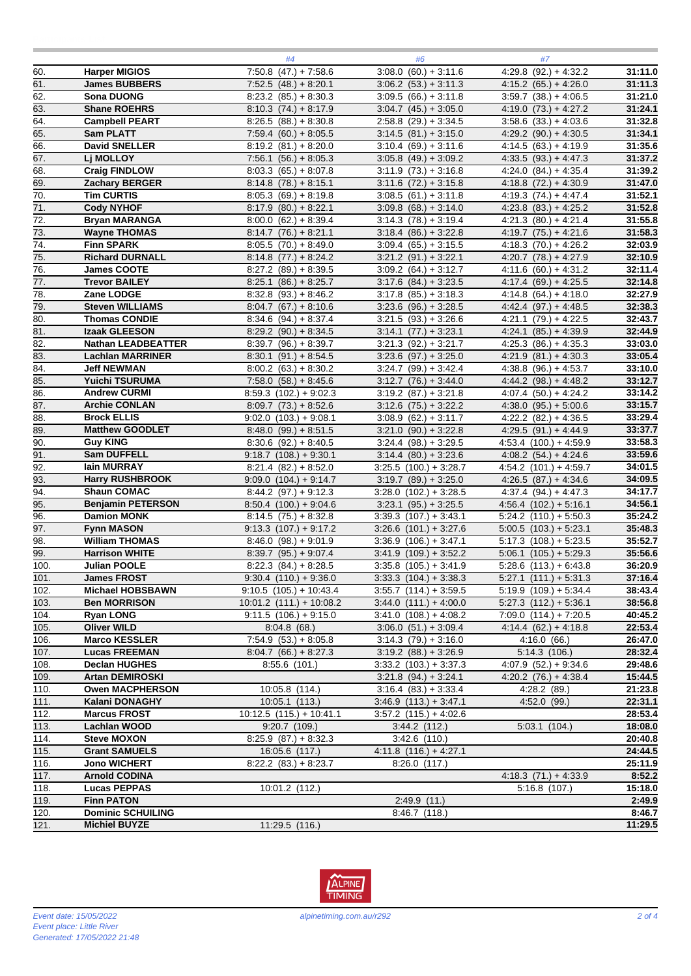|                   |                                                | #4                                                   | #6                                                      | #7                                                   |                    |
|-------------------|------------------------------------------------|------------------------------------------------------|---------------------------------------------------------|------------------------------------------------------|--------------------|
| 60.               | <b>Harper MIGIOS</b>                           | $7:50.8$ (47.) + 7:58.6                              | $3:08.0(60.) + 3:11.6$                                  | $4:29.8$ (92.) + 4:32.2                              | 31:11.0            |
| 61.               | <b>James BUBBERS</b>                           | $7:52.5(48.) + 8:20.1$                               | $3:06.2$ $(53.) + 3:11.3$                               | $4:15.2(65.) + 4:26.0$                               | 31:11.3            |
| 62.               | Sona DUONG                                     | $8:23.2$ (85.) + 8:30.3                              | $3:09.5(66.) + 3:11.8$                                  | $3:59.7$ $(38.) + 4:06.5$                            | 31:21.0            |
| 63.               | <b>Shane ROEHRS</b>                            | $8:10.3(74.) + 8:17.9$                               | $3:04.7$ $(45.) + 3:05.0$                               | $4:19.0(73.) + 4:27.2$                               | 31:24.1            |
| $\overline{64}$   | <b>Campbell PEART</b>                          | $8:26.5(88.) + 8:30.8$                               | $2:58.8$ (29.) + 3:34.5                                 | $3:58.6$ $(33.) + 4:03.6$                            | 31:32.8            |
| 65.               | <b>Sam PLATT</b>                               | $7:59.4(60.) + 8.05.5$                               | $3:14.5(81.) + 3:15.0$                                  | $4:29.2$ (90.) + 4:30.5                              | 31:34.1            |
| 66.               | <b>David SNELLER</b>                           | $8:19.2$ (81.) + 8:20.0                              | $3:10.4(69.) + 3:11.6$                                  | $4:14.5(63.) + 4:19.9$                               | 31:35.6            |
| 67.               | Lj MOLLOY                                      | $7:56.1(56.) + 8:05.3$                               | $3:05.8$ (49.) + 3:09.2                                 | $4:33.5(93.) + 4:47.3$                               | 31:37.2            |
| 68.               | <b>Craig FINDLOW</b>                           | $8:03.3(65.) + 8:07.8$                               | $3:11.9(73.) + 3:16.8$                                  | $4:24.0(84.) + 4:35.4$                               | 31:39.2            |
| 69.               | Zachary BERGER                                 | $8:14.8(78.) + 8:15.1$                               | $3:11.6$ $(72.) + 3:15.8$                               | $4:18.8$ $(72.) + 4:30.9$                            | 31:47.0            |
| $\overline{70}$ . | <b>Tim CURTIS</b>                              | $8:05.3(69.) + 8:19.8$                               | $3:08.5(61.) + 3:11.8$                                  | $4:19.3(74) + 4:47.4$                                | 31:52.1            |
| $\overline{71}$ . | <b>Cody NYHOF</b>                              | $8:17.9(80.) + 8:22.1$                               | $3.09.8$ (68.) + 3.14.0                                 | $4:23.8$ $(83.) + 4:25.2$                            | 31:52.8            |
| 72.               | <b>Bryan MARANGA</b>                           | $8:00.0$ $(62.) + 8:39.4$                            | $3:14.3(78.) + 3:19.4$                                  | $4:21.3(80.) + 4:21.4$                               | 31:55.8            |
| 73.               | <b>Wayne THOMAS</b>                            | $8:14.7$ (76.) + 8:21.1                              | $3:18.4(86.) + 3:22.8$                                  | $4:19.7$ (75.) + 4:21.6                              | 31:58.3            |
| 74.               | <b>Finn SPARK</b>                              | $8:05.5(70.) + 8:49.0$                               | $3:09.4$ (65.) + 3:15.5                                 | $4:18.3(70.) + 4:26.2$                               | 32:03.9            |
| 75.               | <b>Richard DURNALL</b>                         | $8:14.8(77.) + 8:24.2$                               | $3:21.2$ (91.) + 3:22.1                                 | $4:20.7$ $(78.) + 4:27.9$                            | 32:10.9            |
| 76.               | <b>James COOTE</b>                             | $8:27.2$ (89.) + 8:39.5                              | $3:09.2$ $(64.) + 3:12.7$                               | $4:11.6(60.) + 4:31.2$                               | 32:11.4            |
| 77.               | <b>Trevor BAILEY</b>                           | $8:25.1$ $(86.) + 8:25.7$                            | $3:17.6$ $(84.) + 3:23.5$                               | $4:17.4(69.) + 4:25.5$                               | 32:14.8            |
| 78.               | Zane LODGE                                     | $8:32.8$ (93.) + 8:46.2                              | $3:17.8$ $(85.) + 3:18.3$                               | $4:14.8(64.) + 4:18.0$                               | 32:27.9            |
| $\overline{79.}$  | <b>Steven WILLIAMS</b>                         | $8:04.7(67) + 8:10.6$                                | $3:23.6$ (96.) + 3:28.5                                 | $4:42.4$ (97.) + 4:48.5                              | 32:38.3            |
| 80.               | <b>Thomas CONDIE</b>                           | $8:34.6(94.) + 8:37.4$                               | $3:21.5(93.) + 3:26.6$                                  | $4:21.1$ $(79.) + 4:22.5$                            | 32:43.7            |
| $\overline{81}$ . | Izaak GLEESON                                  | $8:29.2$ (90.) + 8:34.5                              | $3:14.1 (77.) + 3:23.1$                                 | $4:24.1$ $(85.) + 4:39.9$                            | 32:44.9            |
| 82.               | <b>Nathan LEADBEATTER</b>                      | $8:39.7$ (96.) + 8:39.7                              | $3:21.3$ $(92.) + 3:21.7$                               | $4:25.3$ (86.) + 4:35.3                              | 33:03.0            |
| 83.               | <b>Lachlan MARRINER</b>                        | $8:30.1$ (91.) + 8:54.5                              | $3:23.6$ (97.) + 3:25.0                                 | $4:21.9(81.) + 4:30.3$                               | 33:05.4            |
| $\overline{84}$   | <b>Jeff NEWMAN</b>                             | $8:00.2$ (63.) + 8:30.2                              | $3:24.7$ (99.) + 3:42.4                                 | $4:38.8$ (96.) + 4:53.7                              | 33:10.0            |
| 85.               | Yuichi TSURUMA                                 | $7:58.0(58.) + 8:45.6$                               | $3:12.7(76.) + 3:44.0$                                  | $4:44.2$ (98.) + 4:48.2                              | 33:12.7            |
| 86.               | <b>Andrew CURMI</b>                            | $8:59.3$ (102.) + 9:02.3                             | $3:19.2$ $(87.) + 3:21.8$                               | $4:07.4(50.) + 4:24.2$                               | 33:14.2            |
| 87.               | <b>Archie CONLAN</b>                           | $8:09.7(73.) + 8:52.6$                               | $3:12.6$ $(75.) + 3:22.2$                               | $4:38.0(95.) + 5:00.6$                               | 33:15.7            |
| 88.               | <b>Brock ELLIS</b>                             | $9:02.0$ $(103.) + 9:08.1$                           | $3:08.9$ $(62.) + 3:11.7$                               | $4:22.2$ $(82.) + 4:36.5$                            | 33:29.4            |
| 89.               | <b>Matthew GOODLET</b>                         | $8:48.0(99.) + 8:51.5$                               | $3:21.0$ (90.) + 3:22.8                                 | $4:29.5(91.) + 4:44.9$                               | 33:37.7            |
| 90.               | <b>Guy KING</b>                                | $8:30.6$ (92.) + 8:40.5                              | $3:24.4$ (98.) + 3:29.5                                 | $4:53.4$ $(100.) + 4:59.9$                           | 33:58.3            |
| $\overline{91}$ . | Sam DUFFELL                                    | $9:18.7$ (108.) + 9:30.1                             | $3:14.4$ $(80.) + 3:23.6$                               | $4.08.2$ $(54.) + 4.24.6$                            | 33:59.6            |
| 92.               | lain MURRAY                                    | $8:21.4$ $(82.) + 8:52.0$                            | $3:25.5$ $(100.) + 3.28.7$                              | $4:54.2$ $(101.) + 4:59.7$                           | 34:01.5            |
| 93.               | <b>Harry RUSHBROOK</b>                         | $9.09.0$ $(104.) + 9.14.7$                           | $3:19.7$ $(89.) + 3:25.0$                               | $4:26.5(87.) + 4:34.6$                               | 34:09.5            |
| 94.<br>95.        | <b>Shaun COMAC</b><br><b>Benjamin PETERSON</b> | $8:44.2(97.) + 9:12.3$                               | $3:28.0$ $(102.) + 3:28.5$                              | $4:37.4(94.) + 4:47.3$<br>$4:56.4$ $(102.) + 5:16.1$ | 34:17.7            |
| 96.               |                                                | $8:50.4$ (100.) + 9:04.6                             | $3:23.1$ $(95.) + 3:25.5$<br>$3:39.3$ $(107.) + 3:43.1$ | $5:24.2$ $(110.) + 5:50.3$                           | 34:56.1<br>35:24.2 |
| 97.               | <b>Damion MONK</b><br><b>Fynn MASON</b>        | $8:14.5(75.) + 8:32.8$<br>$9.13.3$ $(107.) + 9.17.2$ | $3:26.6$ $(101.) + 3:27.6$                              | $5:00.5$ $(103.) + 5:23.1$                           | 35:48.3            |
| 98.               | <b>William THOMAS</b>                          | $8:46.0(98.) + 9:01.9$                               | $3:36.9$ $(106.) + 3:47.1$                              | $5:17.3$ $(108.) + 5:23.5$                           | 35:52.7            |
| 99.               | <b>Harrison WHITE</b>                          | $8:39.7$ (95.) + 9:07.4                              | $3:41.9(109.)+3.52.2$                                   | $5:06.1$ $(105.) + 5:29.3$                           | 35:56.6            |
| 100.              | <b>Julian POOLE</b>                            | $8.22.3$ (84.) + 8:28.5                              | $3:35.8$ $(105.) + 3:41.9$                              | $\overline{5.28.6}$ (113.) + 6:43.8                  | 36:20.9            |
| 101.              | <b>James FROST</b>                             | $9:30.4$ $(110.) + 9:36.0$                           | $3:33.3$ $(104.) + 3:38.3$                              | $5:27.1$ $(111.) + 5:31.3$                           | 37:16.4            |
| 102.              | <b>Michael HOBSBAWN</b>                        | $9:10.5(105.)+10:43.4$                               | $3:55.7$ $(114.) + 3:59.5$                              | $5:19.9$ $(109.) + 5:34.4$                           | 38:43.4            |
| 103.              | <b>Ben MORRISON</b>                            | $10:01.2$ $(111.) + 10:08.2$                         | $3:44.0$ $(111.) + 4:00.0$                              | $5:27.3$ $(112.) + 5:36.1$                           | 38:56.8            |
| 104.              | <b>Ryan LONG</b>                               | $9:11.5(106.) + 9:15.0$                              | $3:41.0$ $(108.) + 4:08.2$                              | $7:09.0$ $(114.) + 7:20.5$                           | 40:45.2            |
| 105.              | <b>Oliver WILD</b>                             | 8:04.8(68)                                           | $3.06.0$ $(51.) + 3.09.4$                               | $4:14.4(62.) + 4:18.8$                               | 22:53.4            |
| 106.              | <b>Marco KESSLER</b>                           | $7:54.9(53.) + 8.05.8$                               | $3:14.3(79) + 3:16.0$                                   | 4:16.0(66)                                           | 26:47.0            |
| 107.              | <b>Lucas FREEMAN</b>                           | $8:04.7(66.) + 8:27.3$                               | $3:19.2$ $(88.) + 3:26.9$                               | 5:14.3(106.)                                         | 28:32.4            |
| 108.              | <b>Declan HUGHES</b>                           | 8:55.6(101.)                                         | $3:33.2$ $(103.) + 3:37.3$                              | $4:07.9$ $(52.) + 9:34.6$                            | 29:48.6            |
| 109.              | <b>Artan DEMIROSKI</b>                         |                                                      | $3:21.8$ (94.) + 3:24.1                                 | $4:20.2$ $(76.) + 4:38.4$                            | 15:44.5            |
| 110.              | <b>Owen MACPHERSON</b>                         | $10:05.8$ (114.)                                     | $3:16.4(83.) + 3:33.4$                                  | $4:28.2$ (89.)                                       | 21:23.8            |
| 111.              | Kalani DONAGHY                                 | $10:05.1$ (113.)                                     | $3:46.9$ $(113.) + 3:47.1$                              | 4:52.0 (99.)                                         | 22:31.1            |
| 112.              | <b>Marcus FROST</b>                            | $10:12.5$ $(115.) + 10:41.1$                         | $3:57.2$ $(115.) + 4:02.6$                              |                                                      | 28:53.4            |
| 113.              | <b>Lachlan WOOD</b>                            | 9:20.7(109.)                                         | 3:44.2(112.)                                            | 5:03.1(104.)                                         | 18:08.0            |
| 114.              | <b>Steve MOXON</b>                             | $8:25.9$ $(87.) + 8:32.3$                            | $3:42.6$ (110.)                                         |                                                      | 20:40.8            |
| 115.              | <b>Grant SAMUELS</b>                           | $16:05.6$ (117.)                                     | $4:11.8(116.) + 4:27.1$                                 |                                                      | 24:44.5            |
| 116.              | <b>Jono WICHERT</b>                            | $8:22.2$ $(83.) + 8:23.7$                            | 8:26.0(117.)                                            |                                                      | 25:11.9            |
| 117.              | <b>Arnold CODINA</b>                           |                                                      |                                                         | $4:18.3(71.) + 4:33.9$                               | 8:52.2             |
| 118.              | <b>Lucas PEPPAS</b>                            | 10:01.2 (112.)                                       |                                                         | $5:16.8$ (107.)                                      | 15:18.0            |
| 119.              | <b>Finn PATON</b>                              |                                                      | 2:49.9(11)                                              |                                                      | 2:49.9             |
| 120.              | <b>Dominic SCHUILING</b>                       |                                                      | 8:46.7(118.)                                            |                                                      | 8:46.7             |
| 121.              | <b>Michiel BUYZE</b>                           | 11:29.5(116.)                                        |                                                         |                                                      | 11:29.5            |

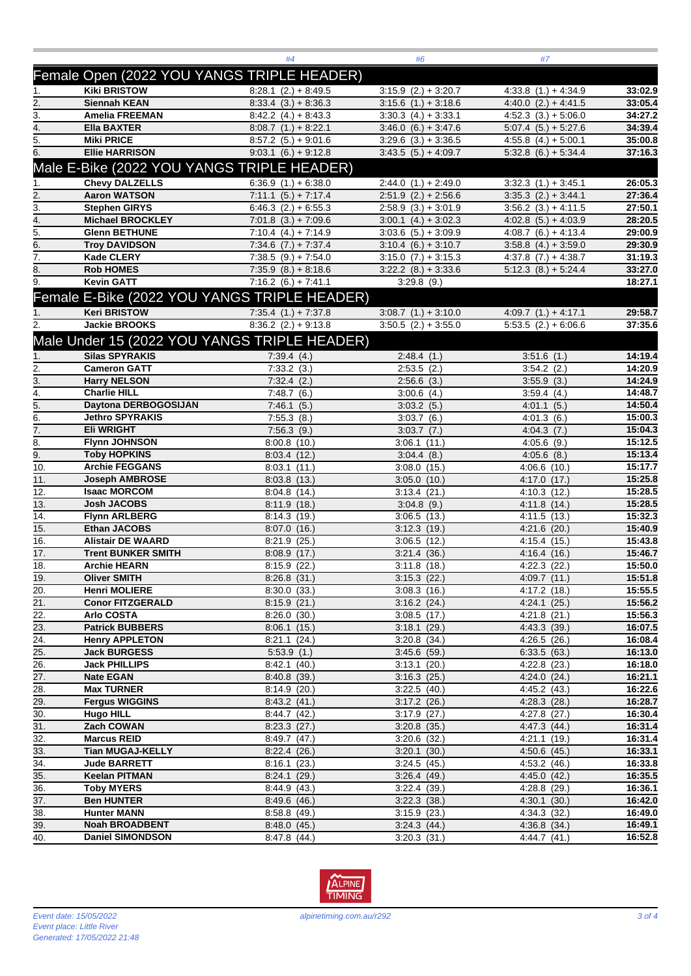|                   |                                              | #4                                              | #6                                                | #7                                                 |                    |
|-------------------|----------------------------------------------|-------------------------------------------------|---------------------------------------------------|----------------------------------------------------|--------------------|
|                   | Female Open (2022 YOU YANGS TRIPLE HEADER)   |                                                 |                                                   |                                                    |                    |
|                   | <b>Kiki BRISTOW</b>                          |                                                 |                                                   |                                                    |                    |
| 1.                | <b>Siennah KEAN</b>                          | $8:28.1$ (2.) + 8:49.5                          | $3:15.9$ $(2.) + 3:20.7$                          | $4:33.8(1.) + 4:34.9$                              | 33:02.9<br>33:05.4 |
| 2.<br>3.          | <b>Amelia FREEMAN</b>                        | $8:33.4(3.) + 8:36.3$                           | $3:15.6$ $(1.) + 3:18.6$                          | $4:40.0$ $(2.) + 4:41.5$<br>$4:52.3(3.) + 5:06.0$  | 34:27.2            |
| 4.                | <b>Ella BAXTER</b>                           | $8:42.2(4.) + 8:43.3$                           | $3:30.3(4.) + 3:33.1$                             | $5.07.4(5.) + 5.27.6$                              | 34:39.4            |
| 5.                | <b>Miki PRICE</b>                            | $8:08.7(1.) + 8:22.1$                           | $3:46.0(6.) + 3:47.6$                             |                                                    | 35:00.8            |
| 6.                | <b>Ellie HARRISON</b>                        | $8:57.2(5.) + 9:01.6$<br>$9:03.1 (6.) + 9:12.8$ | $3:29.6$ $(3.) + 3:36.5$<br>$3:43.5(5.) + 4:09.7$ | $4:55.8$ $(4.) + 5:00.1$<br>$5:32.8$ (6.) + 5:34.4 | 37:16.3            |
|                   |                                              |                                                 |                                                   |                                                    |                    |
|                   | Male E-Bike (2022 YOU YANGS TRIPLE HEADER)   |                                                 |                                                   |                                                    |                    |
| 1.                | <b>Chevy DALZELLS</b>                        | $6:36.9(1.) + 6:38.0$                           | $2:44.0(1.) + 2:49.0$                             | $3:32.3(1.) + 3:45.1$                              | 26:05.3            |
| 2.                | <b>Aaron WATSON</b>                          | $7:11.1$ $(5.) + 7:17.4$                        | $2:51.9$ (2.) + 2:56.6                            | $3:35.3$ $(2.) + 3:44.1$                           | 27:36.4            |
| $\overline{3}$ .  | <b>Stephen GIRYS</b>                         | $6:46.3$ $(2.) + 6:55.3$                        | $2:58.9(3.) + 3:01.9$                             | $3.56.2$ $(3.) + 4.11.5$                           | 27:50.1            |
| 4.                | <b>Michael BROCKLEY</b>                      | $7:01.8(3.) + 7:09.6$                           | $3:00.1$ $(4.) + 3:02.3$                          | $4:02.8$ $(5.) + 4:03.9$                           | 28:20.5            |
| 5.                | <b>Glenn BETHUNE</b>                         | $7:10.4$ (4.) + 7:14.9                          | $3:03.6$ $(5.) + 3:09.9$                          | $4:08.7(6.) + 4:13.4$                              | 29:00.9            |
| 6.                | <b>Troy DAVIDSON</b>                         | $7:34.6(7.)+7:37.4$                             | $3:10.4(6.) + 3:10.7$                             | $3.58.8$ (4.) + 3.59.0                             | 29:30.9            |
| 7.                | <b>Kade CLERY</b>                            | $7:38.5(9.) + 7:54.0$                           | $3:15.0(7.) + 3:15.3$                             | $4:37.8$ $(7.) + 4:38.7$                           | 31:19.3            |
| 8.                | <b>Rob HOMES</b>                             | $7:35.9(8.) + 8.18.6$                           | $3:22.2$ $(8.) + 3:33.6$                          | $5:12.3(8.) + 5.24.4$                              | 33:27.0            |
| $\overline{9}$ .  | <b>Kevin GATT</b>                            | $7:16.2$ (6.) + 7:41.1                          | $3:29.8$ (9.)                                     |                                                    | 18:27.1            |
|                   | Female E-Bike (2022 YOU YANGS TRIPLE HEADER) |                                                 |                                                   |                                                    |                    |
|                   | <b>Keri BRISTOW</b>                          | $7:35.4(1.) + 7:37.8$                           |                                                   | $4:09.7(1.) + 4:17.1$                              | 29:58.7            |
|                   | <b>Jackie BROOKS</b>                         | $8:36.2$ (2.) + 9:13.8                          | $3:08.7(1.) + 3:10.0$<br>$3:50.5$ $(2.) + 3:55.0$ | $5:53.5(2.) + 6.06.6$                              | 37:35.6            |
|                   |                                              |                                                 |                                                   |                                                    |                    |
|                   | Male Under 15 (2022 YOU YANGS TRIPLE HEADER) |                                                 |                                                   |                                                    |                    |
|                   | <b>Silas SPYRAKIS</b>                        | 7:39.4(4.)                                      | 2:48.4(1.)                                        | 3:51.6(1)                                          | 14:19.4            |
| 2.                | <b>Cameron GATT</b>                          | 7:33.2(3.)                                      | $2:53.5$ $(2.)$                                   | $3:54.2$ (2.)                                      | 14:20.9            |
| 3.                | <b>Harry NELSON</b>                          | 7:32.4(2.)                                      | $2:56.6$ (3.)                                     | 3:55.9(3.)                                         | 14:24.9            |
| $\overline{4}$ .  | <b>Charlie HILL</b>                          | 7:48.7(6.)                                      | $3:00.6$ (4.)                                     | 3:59.4(4.)                                         | 14:48.7            |
| 5.                | Daytona DERBOGOSIJAN                         | 7:46.1(5.)                                      | 3:03.2(5.)                                        | 4:01.1(5.)                                         | 14:50.4            |
| 6.                | <b>Jethro SPYRAKIS</b>                       | 7:55.3(8.)                                      | 3:03.7(6.)                                        | 4:01.3(6.)                                         | 15:00.3            |
| 7.                | Eli WRIGHT                                   | 7:56.3(9.)                                      | $3:03.7$ $(7.)$                                   | 4:04.3(7.)                                         | 15:04.3            |
| 8.                | <b>Flynn JOHNSON</b>                         | 8:00.8(10.)                                     | 3:06.1(11)                                        | $4:05.6$ (9.)                                      | 15:12.5            |
| 9.                | <b>Toby HOPKINS</b>                          | 8:03.4(12.)                                     | 3.04.4(8.)                                        | $4:05.6$ $(8.)$                                    | 15:13.4            |
| $\overline{10}$ . | <b>Archie FEGGANS</b>                        | 8:03.1(11)                                      | $3:08.0$ (15.)                                    | $4:06.6$ (10.)                                     | 15:17.7            |
| 11.               | <b>Joseph AMBROSE</b>                        | $8:03.8$ (13.)                                  | $3:05.0$ (10.)                                    | $4:17.0$ (17.)                                     | 15:25.8            |
| 12.               | <b>Isaac MORCOM</b>                          | 8.04.8(14)                                      | 3:13.4(21.)                                       | 4:10.3(12.)                                        | 15:28.5            |
| 13.               | <b>Josh JACOBS</b>                           | 8:11.9(18.)                                     | $3:04.8$ (9.)                                     | 4:11.8(14)                                         | 15:28.5            |
| 14.               | <b>Flynn ARLBERG</b>                         | 8:14.3(19.)                                     | 3:06.5(13.)                                       | 4:11.5(13.)                                        | 15:32.3            |
| 15.               | <b>Ethan JACOBS</b>                          | $8:07.0$ (16.)                                  | 3:12.3(19.)                                       | $4:21.6$ (20.)                                     | 15:40.9            |
| 16.               | <b>Alistair DE WAARD</b>                     | $8:21.9$ (25.)                                  | $3:06.5$ (12.)                                    | 4:15.4(15.)                                        | 15:43.8            |
| 17.               | <b>Trent BUNKER SMITH</b>                    | 8:08.9 (17.)                                    | 3:21.4(36.)                                       | 4:16.4(16.)                                        | 15:46.7            |
| 18.               | <b>Archie HEARN</b>                          | $8:15.9$ (22.)                                  | $3:11.8$ (18.)                                    | $4:22.3$ (22.)                                     | 15:50.0            |
| 19.               | <b>Oliver SMITH</b>                          | 8:26.8(31.)                                     | 3:15.3(22.)                                       | 4:09.7(11.)                                        | 15:51.8            |
| 20.               | <b>Henri MOLIERE</b>                         | $8:30.0$ $(33.)$                                | 3:08.3(16.)                                       | 4:17.2(18.)                                        | 15:55.5            |
| $\overline{21}$ . | <b>Conor FITZGERALD</b>                      | 8:15.9(21.)                                     | 3:16.2(24.)                                       | 4:24.1(25.)                                        | 15:56.2            |
| 22.               | <b>Arlo COSTA</b>                            | 8:26.0(30.)                                     | $3:08.5$ (17.)                                    | $4:21.8$ (21.)                                     | 15:56.3            |
| 23.               | <b>Patrick BUBBERS</b>                       | 8:06.1(15.)                                     | 3:18.1(29.)                                       | 4:43.3(39.)                                        | 16:07.5            |
| 24.               | <b>Henry APPLETON</b>                        | 8:21.1(24.)                                     | $3:20.8$ $(34.)$                                  | 4:26.5(26.)                                        | 16:08.4            |
| 25.               | <b>Jack BURGESS</b>                          | 5:53.9(1.)                                      | $3.45.6$ (59.)                                    | 6:33.5(63)                                         | 16:13.0            |
| 26.               | <b>Jack PHILLIPS</b>                         | 8.42.1(40.)                                     | 3:13.1(20.)                                       | $4:22.8$ $(23.)$                                   | 16:18.0            |
| 27.               | <b>Nate EGAN</b>                             | 8.40.8(39.)                                     | 3:16.3(25.)                                       | 4:24.0(24.)                                        | 16:21.1            |
| 28.               | <b>Max TURNER</b>                            | 8:14.9(20.)                                     | 3:22.5(40.)                                       | 4:45.2(43.)                                        | 16:22.6            |
| 29.               | <b>Fergus WIGGINS</b>                        | 8:43.2(41.)                                     | $3:17.2$ (26.)                                    | 4:28.3(28.)                                        | 16:28.7            |
| 30.               | <b>Hugo HILL</b>                             | 8.44.7(42)                                      | $3:17.9$ (27.)                                    | $4:27.8$ (27.)                                     | 16:30.4            |
| 31.               | Zach COWAN                                   | $8:23.3$ (27.)                                  | $3:20.8$ (35.)                                    | 4:47.3 (44.)                                       | 16:31.4            |
| 32.               | <b>Marcus REID</b>                           | 8.49.7(47.)                                     | $3:20.6$ (32.)                                    | $4:21.1$ (19.)                                     | 16:31.4            |
| 33.               | <b>Tian MUGAJ-KELLY</b>                      | 8:22.4(26.)                                     | $3:20.1$ (30.)                                    | 4:50.6(45)                                         | 16:33.1            |
| $\overline{34}$ . | <b>Jude BARRETT</b>                          | 8:16.1(23.)                                     | 3:24.5(45)                                        | 4:53.2(46.)                                        | 16:33.8            |
| 35.               | <b>Keelan PITMAN</b>                         | 8:24.1(29.)                                     | 3:26.4(49.)                                       | 4:45.0(42.)                                        | 16:35.5            |
| 36.               | <b>Toby MYERS</b>                            | 8:44.9(43)                                      | 3:22.4(39.)                                       | $4:28.8$ (29.)                                     | 16:36.1            |
| 37.               | <b>Ben HUNTER</b>                            | 8:49.6(46.)                                     | 3:22.3(38.)                                       | 4:30.1 (30.)                                       | 16:42.0            |
| 38.               | <b>Hunter MANN</b>                           | 8:58.8(49.)                                     | 3:15.9(23.)                                       | 4:34.3(32.)                                        | 16:49.0            |
| 39.               | <b>Noah BROADBENT</b>                        | 8.48.0(45.)                                     | 3:24.3(44)                                        | 4:36.8(34.)                                        | 16:49.1            |
| 40.               | <b>Daniel SIMONDSON</b>                      | 8:47.8 (44.)                                    | $3:20.3$ $(31.)$                                  | 4:44.7(41.)                                        | 16:52.8            |